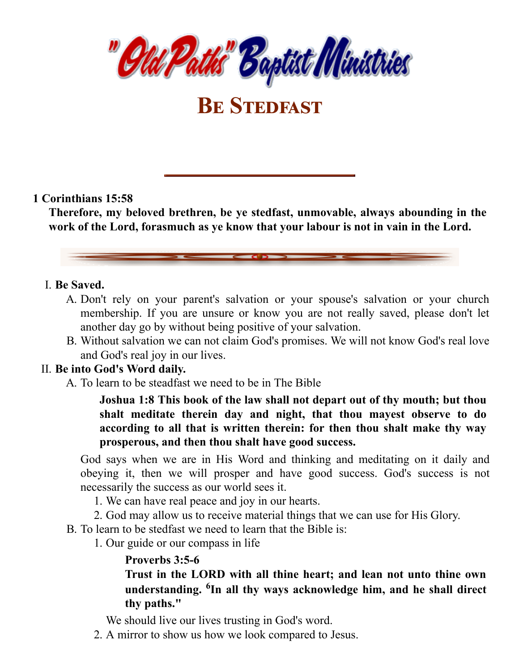

**BE STEDFAST** 

### **1 Corinthians 15:58**

**Therefore, my beloved brethren, be ye stedfast, unmovable, always abounding in the work of the Lord, forasmuch as ye know that your labour is not in vain in the Lord.**

### I. **Be Saved.**

- A. Don't rely on your parent's salvation or your spouse's salvation or your church membership. If you are unsure or know you are not really saved, please don't let another day go by without being positive of your salvation.
- B. Without salvation we can not claim God's promises. We will not know God's real love and God's real joy in our lives.

## II. **Be into God's Word daily.**

A. To learn to be steadfast we need to be in The Bible

**Joshua 1:8 This book of the law shall not depart out of thy mouth; but thou shalt meditate therein day and night, that thou mayest observe to do according to all that is written therein: for then thou shalt make thy way prosperous, and then thou shalt have good success.**

God says when we are in His Word and thinking and meditating on it daily and obeying it, then we will prosper and have good success. God's success is not necessarily the success as our world sees it.

- 1. We can have real peace and joy in our hearts.
- 2. God may allow us to receive material things that we can use for His Glory.
- B. To learn to be stedfast we need to learn that the Bible is:
	- 1. Our guide or our compass in life

## **Proverbs 3:5-6**

**Trust in the LORD with all thine heart; and lean not unto thine own understanding. <sup>6</sup>In all thy ways acknowledge him, and he shall direct thy paths."**

We should live our lives trusting in God's word.

2. A mirror to show us how we look compared to Jesus.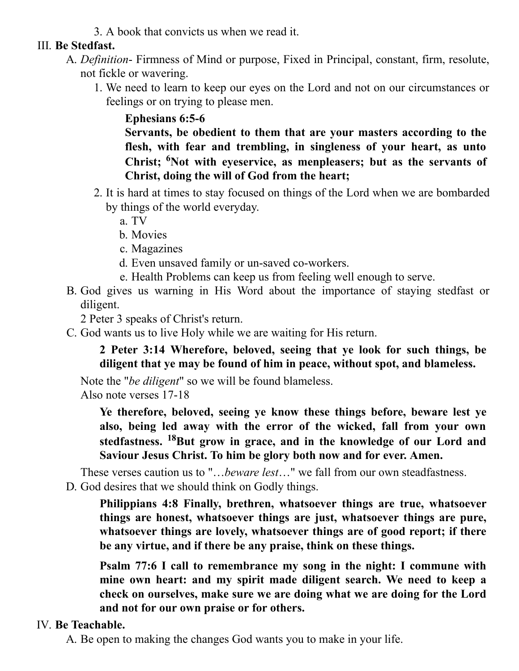3. A book that convicts us when we read it.

## III. **Be Stedfast.**

- A. *Definition* Firmness of Mind or purpose, Fixed in Principal, constant, firm, resolute, not fickle or wavering.
	- 1. We need to learn to keep our eyes on the Lord and not on our circumstances or feelings or on trying to please men.

**Ephesians 6:5-6**

**Servants, be obedient to them that are your masters according to the flesh, with fear and trembling, in singleness of your heart, as unto Christ; <sup>6</sup>Not with eyeservice, as menpleasers; but as the servants of Christ, doing the will of God from the heart;**

- 2. It is hard at times to stay focused on things of the Lord when we are bombarded by things of the world everyday.
	- a. TV
	- b. Movies
	- c. Magazines
	- d. Even unsaved family or un-saved co-workers.
	- e. Health Problems can keep us from feeling well enough to serve.
- B. God gives us warning in His Word about the importance of staying stedfast or diligent.

2 Peter 3 speaks of Christ's return.

C. God wants us to live Holy while we are waiting for His return.

**2 Peter 3:14 Wherefore, beloved, seeing that ye look for such things, be diligent that ye may be found of him in peace, without spot, and blameless.**

Note the "*be diligent*" so we will be found blameless.

Also note verses 17-18

**Ye therefore, beloved, seeing ye know these things before, beware lest ye also, being led away with the error of the wicked, fall from your own stedfastness. <sup>18</sup>But grow in grace, and in the knowledge of our Lord and Saviour Jesus Christ. To him be glory both now and for ever. Amen.**

These verses caution us to "…*beware lest*…" we fall from our own steadfastness. D. God desires that we should think on Godly things.

**Philippians 4:8 Finally, brethren, whatsoever things are true, whatsoever things are honest, whatsoever things are just, whatsoever things are pure, whatsoever things are lovely, whatsoever things are of good report; if there be any virtue, and if there be any praise, think on these things.**

**Psalm 77:6 I call to remembrance my song in the night: I commune with mine own heart: and my spirit made diligent search. We need to keep a check on ourselves, make sure we are doing what we are doing for the Lord and not for our own praise or for others.**

# IV. **Be Teachable.**

A. Be open to making the changes God wants you to make in your life.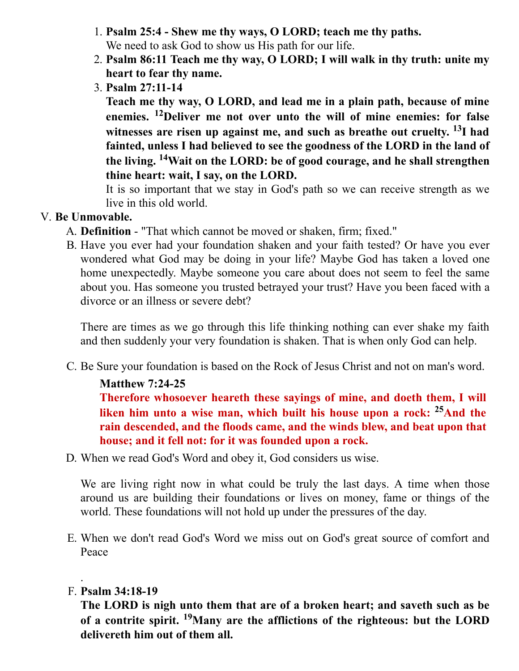- 1. **Psalm 25:4 - Shew me thy ways, O LORD; teach me thy paths.** We need to ask God to show us His path for our life.
- 2. **Psalm 86:11 Teach me thy way, O LORD; I will walk in thy truth: unite my heart to fear thy name.**
- 3. **Psalm 27:11-14**

**Teach me thy way, O LORD, and lead me in a plain path, because of mine enemies. <sup>12</sup>Deliver me not over unto the will of mine enemies: for false witnesses are risen up against me, and such as breathe out cruelty. <sup>13</sup>I had fainted, unless I had believed to see the goodness of the LORD in the land of the living. <sup>14</sup>Wait on the LORD: be of good courage, and he shall strengthen thine heart: wait, I say, on the LORD.**

It is so important that we stay in God's path so we can receive strength as we live in this old world.

## V. **Be Unmovable.**

- A. **Definition** "That which cannot be moved or shaken, firm; fixed."
- B. Have you ever had your foundation shaken and your faith tested? Or have you ever wondered what God may be doing in your life? Maybe God has taken a loved one home unexpectedly. Maybe someone you care about does not seem to feel the same about you. Has someone you trusted betrayed your trust? Have you been faced with a divorce or an illness or severe debt?

There are times as we go through this life thinking nothing can ever shake my faith and then suddenly your very foundation is shaken. That is when only God can help.

C. Be Sure your foundation is based on the Rock of Jesus Christ and not on man's word.

# **Matthew 7:24-25**

**Therefore whosoever heareth these sayings of mine, and doeth them, I will liken him unto a wise man, which built his house upon a rock: <sup>25</sup>And the rain descended, and the floods came, and the winds blew, and beat upon that house; and it fell not: for it was founded upon a rock.**

D. When we read God's Word and obey it, God considers us wise.

We are living right now in what could be truly the last days. A time when those around us are building their foundations or lives on money, fame or things of the world. These foundations will not hold up under the pressures of the day.

E. When we don't read God's Word we miss out on God's great source of comfort and Peace

## F. **Psalm 34:18-19**

.

**The LORD is nigh unto them that are of a broken heart; and saveth such as be of a contrite spirit. <sup>19</sup>Many are the afflictions of the righteous: but the LORD delivereth him out of them all.**